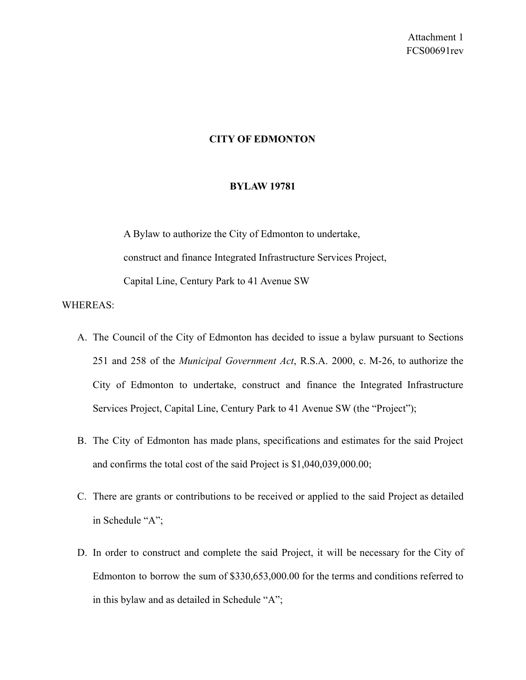## **CITY OF EDMONTON**

### **BYLAW 19781**

A Bylaw to authorize the City of Edmonton to undertake, construct and finance Integrated Infrastructure Services Project, Capital Line, Century Park to 41 Avenue SW

## WHEREAS:

- A. The Council of the City of Edmonton has decided to issue a bylaw pursuant to Sections 251 and 258 of the *Municipal Government Act*, R.S.A. 2000, c. M-26, to authorize the City of Edmonton to undertake, construct and finance the Integrated Infrastructure Services Project, Capital Line, Century Park to 41 Avenue SW (the "Project");
- B. The City of Edmonton has made plans, specifications and estimates for the said Project and confirms the total cost of the said Project is \$1,040,039,000.00;
- C. There are grants or contributions to be received or applied to the said Project as detailed in Schedule "A";
- D. In order to construct and complete the said Project, it will be necessary for the City of Edmonton to borrow the sum of \$330,653,000.00 for the terms and conditions referred to in this bylaw and as detailed in Schedule "A";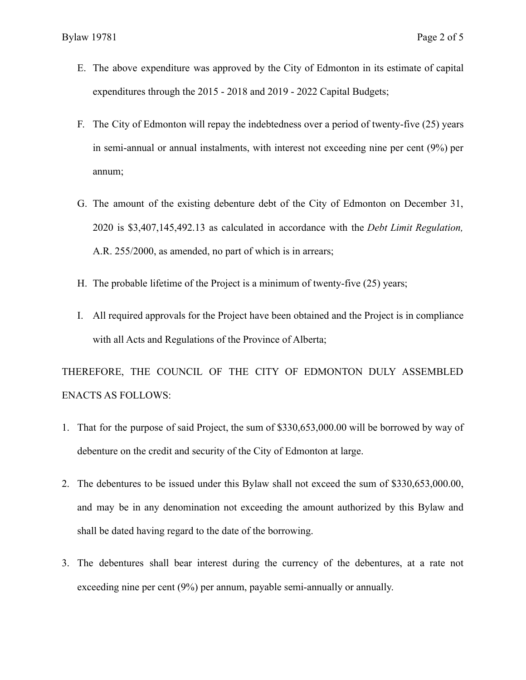- E. The above expenditure was approved by the City of Edmonton in its estimate of capital expenditures through the 2015 - 2018 and 2019 - 2022 Capital Budgets;
- F. The City of Edmonton will repay the indebtedness over a period of twenty-five (25) years in semi-annual or annual instalments, with interest not exceeding nine per cent (9%) per annum;
- G. The amount of the existing debenture debt of the City of Edmonton on December 31, 2020 is \$3,407,145,492.13 as calculated in accordance with the *Debt Limit Regulation,* A.R. 255/2000, as amended, no part of which is in arrears;
- H. The probable lifetime of the Project is a minimum of twenty-five (25) years;
- I. All required approvals for the Project have been obtained and the Project is in compliance with all Acts and Regulations of the Province of Alberta;

THEREFORE, THE COUNCIL OF THE CITY OF EDMONTON DULY ASSEMBLED ENACTS AS FOLLOWS:

- 1. That for the purpose of said Project, the sum of \$330,653,000.00 will be borrowed by way of debenture on the credit and security of the City of Edmonton at large.
- 2. The debentures to be issued under this Bylaw shall not exceed the sum of \$330,653,000.00, and may be in any denomination not exceeding the amount authorized by this Bylaw and shall be dated having regard to the date of the borrowing.
- 3. The debentures shall bear interest during the currency of the debentures, at a rate not exceeding nine per cent (9%) per annum, payable semi-annually or annually.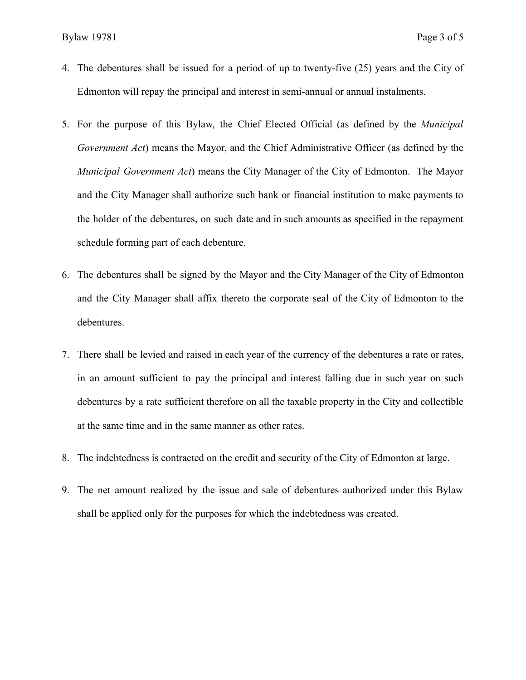- 4. The debentures shall be issued for a period of up to twenty-five (25) years and the City of Edmonton will repay the principal and interest in semi-annual or annual instalments.
- 5. For the purpose of this Bylaw, the Chief Elected Official (as defined by the *Municipal Government Act*) means the Mayor, and the Chief Administrative Officer (as defined by the *Municipal Government Act*) means the City Manager of the City of Edmonton. The Mayor and the City Manager shall authorize such bank or financial institution to make payments to the holder of the debentures, on such date and in such amounts as specified in the repayment schedule forming part of each debenture.
- 6. The debentures shall be signed by the Mayor and the City Manager of the City of Edmonton and the City Manager shall affix thereto the corporate seal of the City of Edmonton to the debentures.
- 7. There shall be levied and raised in each year of the currency of the debentures a rate or rates, in an amount sufficient to pay the principal and interest falling due in such year on such debentures by a rate sufficient therefore on all the taxable property in the City and collectible at the same time and in the same manner as other rates.
- 8. The indebtedness is contracted on the credit and security of the City of Edmonton at large.
- 9. The net amount realized by the issue and sale of debentures authorized under this Bylaw shall be applied only for the purposes for which the indebtedness was created.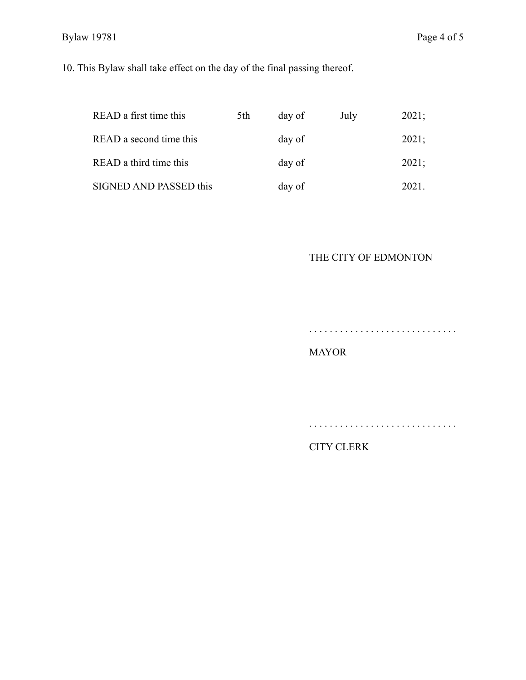# Bylaw 19781 Page 4 of 5

10. This Bylaw shall take effect on the day of the final passing thereof.

| READ a first time this  | 5th | day of | July | 2021; |
|-------------------------|-----|--------|------|-------|
| READ a second time this |     | day of |      | 2021; |
| READ a third time this  |     | day of |      | 2021; |
| SIGNED AND PASSED this  |     | day of |      | 2021. |

# THE CITY OF EDMONTON

. . . . . . . . . . . . . . . . . . . . . . . . . . . . .

. . . . . . . . . . . . . . . . . . . . . . . . . . . . .

## MAYOR

CITY CLERK